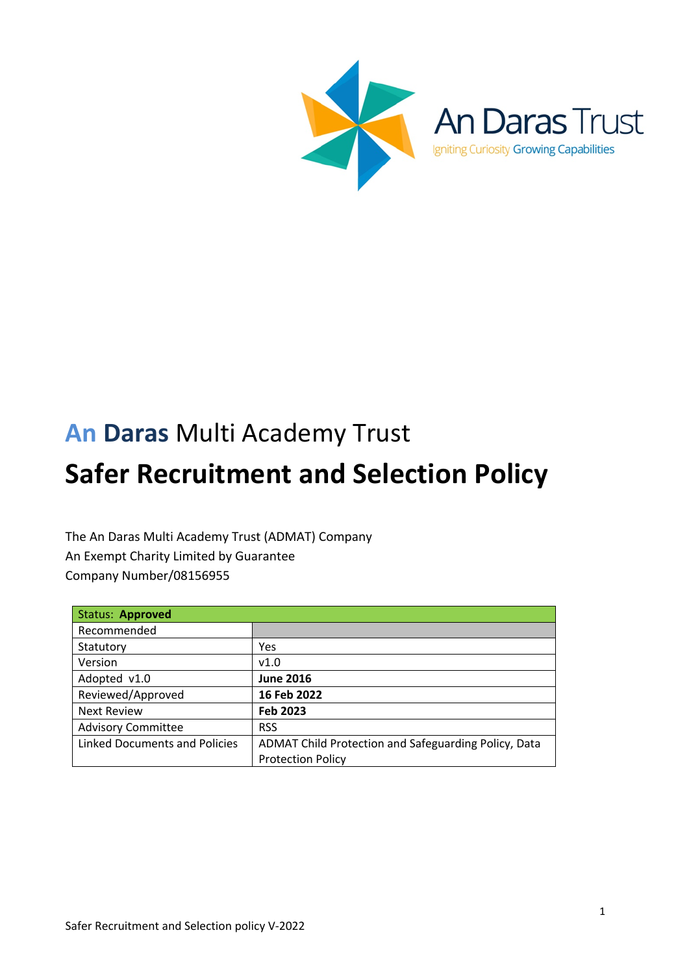

Igniting Curiosity Growing Capabilities

# **An Daras** Multi Academy Trust

# **Safer Recruitment and Selection Policy**

The An Daras Multi Academy Trust (ADMAT) Company An Exempt Charity Limited by Guarantee Company Number/08156955

| <b>Status: Approved</b>              |                                                      |
|--------------------------------------|------------------------------------------------------|
| Recommended                          |                                                      |
| Statutory                            | Yes                                                  |
| Version                              | v1.0                                                 |
| Adopted v1.0                         | <b>June 2016</b>                                     |
| Reviewed/Approved                    | 16 Feb 2022                                          |
| <b>Next Review</b>                   | Feb 2023                                             |
| <b>Advisory Committee</b>            | <b>RSS</b>                                           |
| <b>Linked Documents and Policies</b> | ADMAT Child Protection and Safeguarding Policy, Data |
|                                      | <b>Protection Policy</b>                             |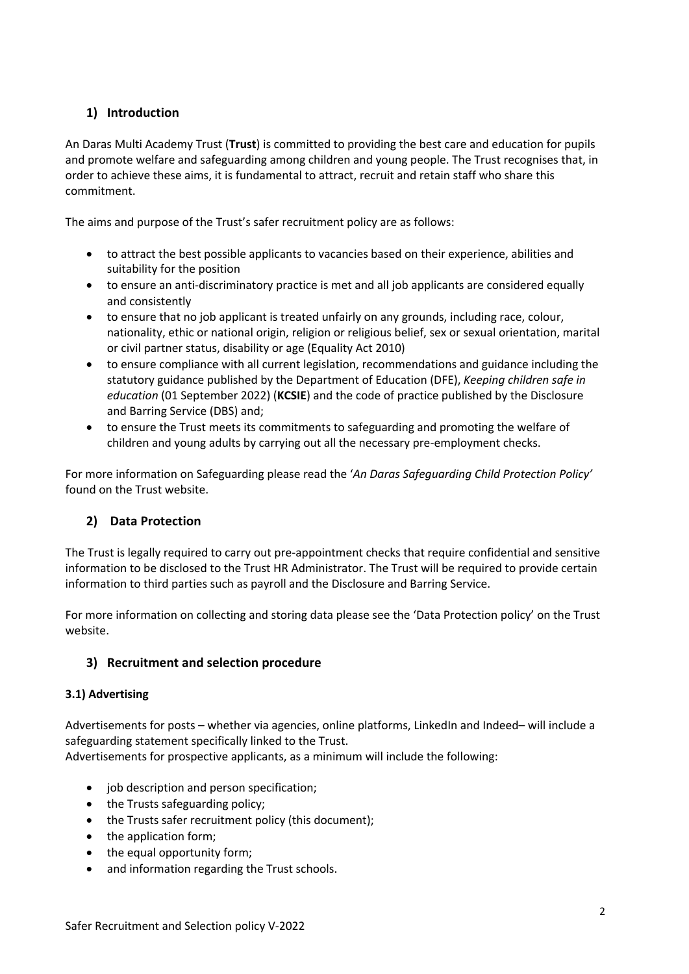## **1) Introduction**

An Daras Multi Academy Trust (**Trust**) is committed to providing the best care and education for pupils and promote welfare and safeguarding among children and young people. The Trust recognises that, in order to achieve these aims, it is fundamental to attract, recruit and retain staff who share this commitment.

The aims and purpose of the Trust's safer recruitment policy are as follows:

- to attract the best possible applicants to vacancies based on their experience, abilities and suitability for the position
- to ensure an anti-discriminatory practice is met and all job applicants are considered equally and consistently
- to ensure that no job applicant is treated unfairly on any grounds, including race, colour, nationality, ethic or national origin, religion or religious belief, sex or sexual orientation, marital or civil partner status, disability or age (Equality Act 2010)
- to ensure compliance with all current legislation, recommendations and guidance including the statutory guidance published by the Department of Education (DFE), *Keeping children safe in education* (01 September 2022) (**KCSIE**) and the code of practice published by the Disclosure and Barring Service (DBS) and;
- to ensure the Trust meets its commitments to safeguarding and promoting the welfare of children and young adults by carrying out all the necessary pre-employment checks.

For more information on Safeguarding please read the '*An Daras Safeguarding Child Protection Policy'* found on the Trust website.

## **2) Data Protection**

The Trust is legally required to carry out pre-appointment checks that require confidential and sensitive information to be disclosed to the Trust HR Administrator. The Trust will be required to provide certain information to third parties such as payroll and the Disclosure and Barring Service.

For more information on collecting and storing data please see the 'Data Protection policy' on the Trust website.

#### **3) Recruitment and selection procedure**

#### **3.1) Advertising**

Advertisements for posts – whether via agencies, online platforms, LinkedIn and Indeed– will include a safeguarding statement specifically linked to the Trust.

Advertisements for prospective applicants, as a minimum will include the following:

- job description and person specification;
- the Trusts safeguarding policy;
- the Trusts safer recruitment policy (this document);
- the application form;
- the equal opportunity form;
- and information regarding the Trust schools.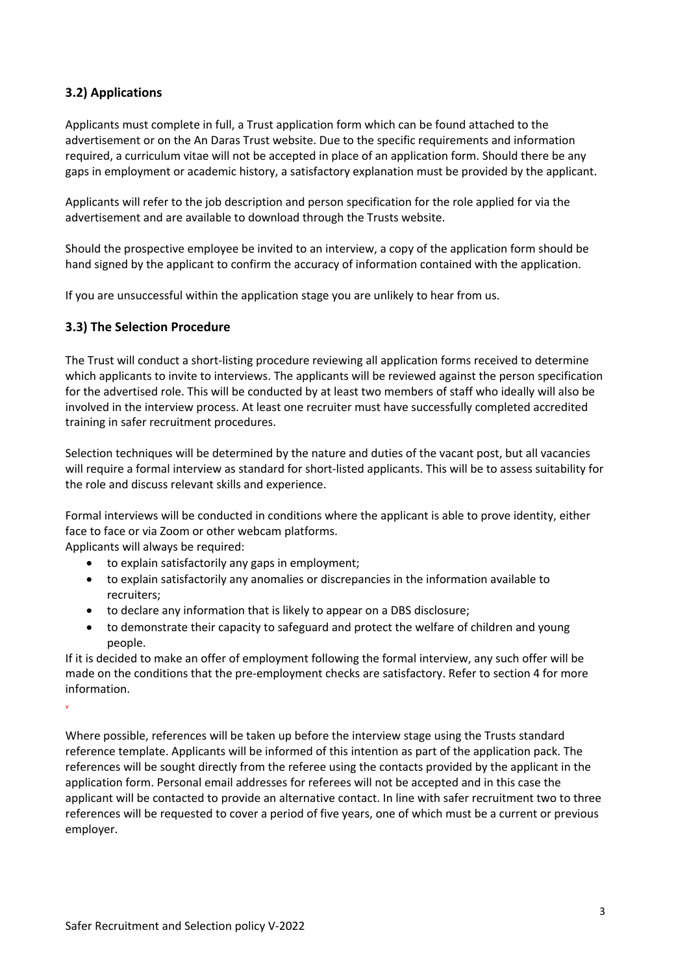## **3.2) Applications**

Applicants must complete in full, a Trust application form which can be found attached to the advertisement or on the An Daras Trust website. Due to the specific requirements and information required, a curriculum vitae will not be accepted in place of an application form. Should there be any gaps in employment or academic history, a satisfactory explanation must be provided by the applicant.

Applicants will refer to the job description and person specification for the role applied for via the advertisement and are available to download through the Trusts website.

Should the prospective employee be invited to an interview, a copy of the application form should be hand signed by the applicant to confirm the accuracy of information contained with the application.

If you are unsuccessful within the application stage you are unlikely to hear from us.

#### **3.3) The Selection Procedure**

The Trust will conduct a short-listing procedure reviewing all application forms received to determine which applicants to invite to interviews. The applicants will be reviewed against the person specification for the advertised role. This will be conducted by at least two members of staff who ideally will also be involved in the interview process. At least one recruiter must have successfully completed accredited training in safer recruitment procedures.

Selection techniques will be determined by the nature and duties of the vacant post, but all vacancies will require a formal interview as standard for short-listed applicants. This will be to assess suitability for the role and discuss relevant skills and experience.

Formal interviews will be conducted in conditions where the applicant is able to prove identity, either face to face or via Zoom or other webcam platforms.

Applicants will always be required:

- to explain satisfactorily any gaps in employment;
- to explain satisfactorily any anomalies or discrepancies in the information available to recruiters;
- to declare any information that is likely to appear on a DBS disclosure;
- to demonstrate their capacity to safeguard and protect the welfare of children and young people.

If it is decided to make an offer of employment following the formal interview, any such offer will be made on the conditions that the pre-employment checks are satisfactory. Refer to section 4 for more information.

.

Where possible, references will be taken up before the interview stage using the Trusts standard reference template. Applicants will be informed of this intention as part of the application pack. The references will be sought directly from the referee using the contacts provided by the applicant in the application form. Personal email addresses for referees will not be accepted and in this case the applicant will be contacted to provide an alternative contact. In line with safer recruitment two to three references will be requested to cover a period of five years, one of which must be a current or previous employer.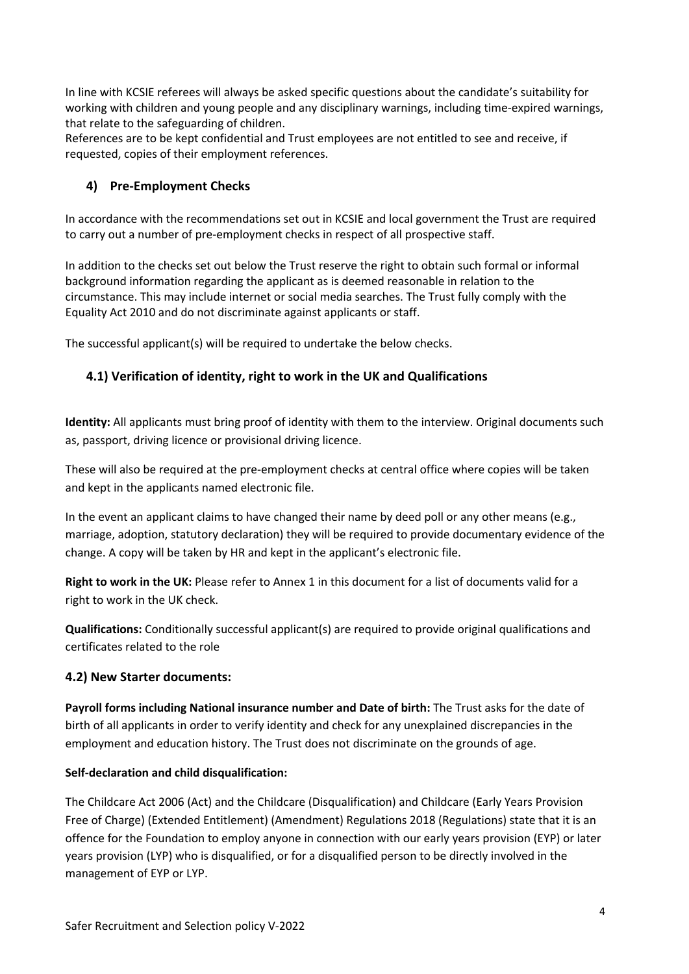In line with KCSIE referees will always be asked specific questions about the candidate's suitability for working with children and young people and any disciplinary warnings, including time-expired warnings, that relate to the safeguarding of children.

References are to be kept confidential and Trust employees are not entitled to see and receive, if requested, copies of their employment references.

## **4) Pre-Employment Checks**

In accordance with the recommendations set out in KCSIE and local government the Trust are required to carry out a number of pre-employment checks in respect of all prospective staff.

In addition to the checks set out below the Trust reserve the right to obtain such formal or informal background information regarding the applicant as is deemed reasonable in relation to the circumstance. This may include internet or social media searches. The Trust fully comply with the Equality Act 2010 and do not discriminate against applicants or staff.

The successful applicant(s) will be required to undertake the below checks.

## **4.1) Verification of identity, right to work in the UK and Qualifications**

**Identity:** All applicants must bring proof of identity with them to the interview. Original documents such as, passport, driving licence or provisional driving licence.

These will also be required at the pre-employment checks at central office where copies will be taken and kept in the applicants named electronic file.

In the event an applicant claims to have changed their name by deed poll or any other means (e.g., marriage, adoption, statutory declaration) they will be required to provide documentary evidence of the change. A copy will be taken by HR and kept in the applicant's electronic file.

**Right to work in the UK:** Please refer to Annex 1 in this document for a list of documents valid for a right to work in the UK check.

**Qualifications:** Conditionally successful applicant(s) are required to provide original qualifications and certificates related to the role

#### **4.2) New Starter documents:**

**Payroll forms including National insurance number and Date of birth:** The Trust asks for the date of birth of all applicants in order to verify identity and check for any unexplained discrepancies in the employment and education history. The Trust does not discriminate on the grounds of age.

#### **Self-declaration and child disqualification:**

The Childcare Act 2006 (Act) and the Childcare (Disqualification) and Childcare (Early Years Provision Free of Charge) (Extended Entitlement) (Amendment) Regulations 2018 (Regulations) state that it is an offence for the Foundation to employ anyone in connection with our early years provision (EYP) or later years provision (LYP) who is disqualified, or for a disqualified person to be directly involved in the management of EYP or LYP.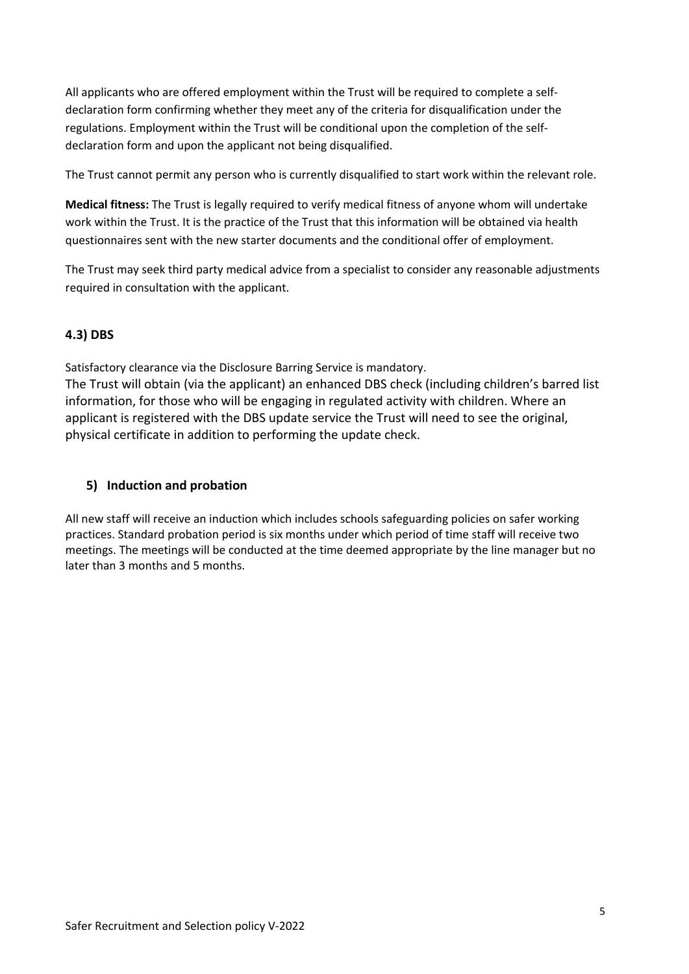All applicants who are offered employment within the Trust will be required to complete a selfdeclaration form confirming whether they meet any of the criteria for disqualification under the regulations. Employment within the Trust will be conditional upon the completion of the selfdeclaration form and upon the applicant not being disqualified.

The Trust cannot permit any person who is currently disqualified to start work within the relevant role.

**Medical fitness:** The Trust is legally required to verify medical fitness of anyone whom will undertake work within the Trust. It is the practice of the Trust that this information will be obtained via health questionnaires sent with the new starter documents and the conditional offer of employment.

The Trust may seek third party medical advice from a specialist to consider any reasonable adjustments required in consultation with the applicant.

## **4.3) DBS**

Satisfactory clearance via the Disclosure Barring Service is mandatory.

The Trust will obtain (via the applicant) an enhanced DBS check (including children's barred list information, for those who will be engaging in regulated activity with children. Where an applicant is registered with the DBS update service the Trust will need to see the original, physical certificate in addition to performing the update check.

## **5) Induction and probation**

All new staff will receive an induction which includes schools safeguarding policies on safer working practices. Standard probation period is six months under which period of time staff will receive two meetings. The meetings will be conducted at the time deemed appropriate by the line manager but no later than 3 months and 5 months.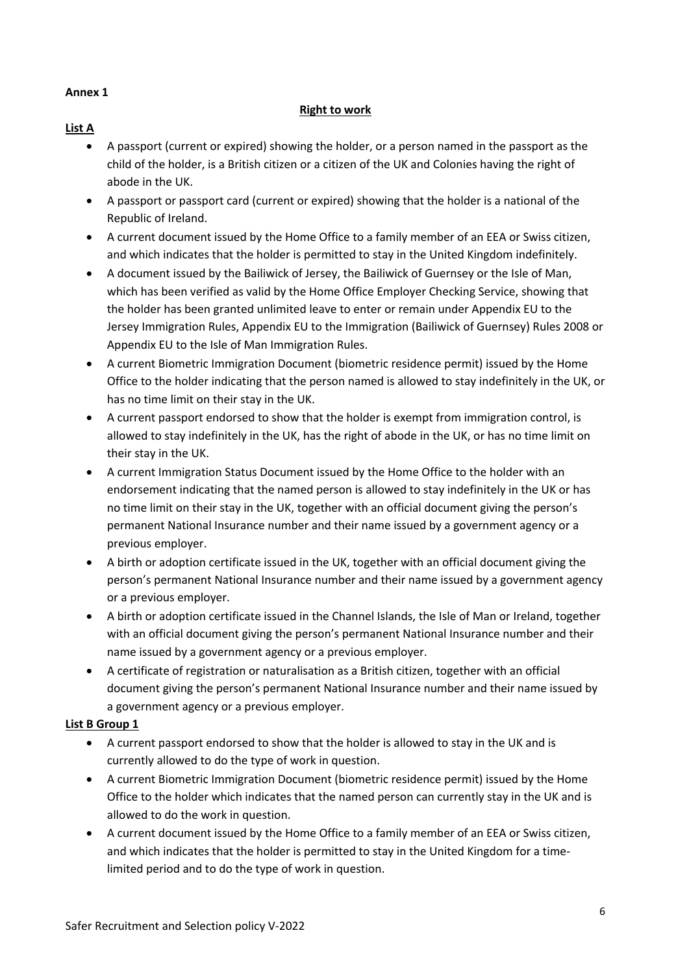#### **Annex 1**

### **Right to work**

- **List A**
	- A passport (current or expired) showing the holder, or a person named in the passport as the child of the holder, is a British citizen or a citizen of the UK and Colonies having the right of abode in the UK.
	- A passport or passport card (current or expired) showing that the holder is a national of the Republic of Ireland.
	- A current document issued by the Home Office to a family member of an EEA or Swiss citizen, and which indicates that the holder is permitted to stay in the United Kingdom indefinitely.
	- A document issued by the Bailiwick of Jersey, the Bailiwick of Guernsey or the Isle of Man, which has been verified as valid by the Home Office Employer Checking Service, showing that the holder has been granted unlimited leave to enter or remain under Appendix EU to the Jersey Immigration Rules, Appendix EU to the Immigration (Bailiwick of Guernsey) Rules 2008 or Appendix EU to the Isle of Man Immigration Rules.
	- A current Biometric Immigration Document (biometric residence permit) issued by the Home Office to the holder indicating that the person named is allowed to stay indefinitely in the UK, or has no time limit on their stay in the UK.
	- A current passport endorsed to show that the holder is exempt from immigration control, is allowed to stay indefinitely in the UK, has the right of abode in the UK, or has no time limit on their stay in the UK.
	- A current Immigration Status Document issued by the Home Office to the holder with an endorsement indicating that the named person is allowed to stay indefinitely in the UK or has no time limit on their stay in the UK, together with an official document giving the person's permanent National Insurance number and their name issued by a government agency or a previous employer.
	- A birth or adoption certificate issued in the UK, together with an official document giving the person's permanent National Insurance number and their name issued by a government agency or a previous employer.
	- A birth or adoption certificate issued in the Channel Islands, the Isle of Man or Ireland, together with an official document giving the person's permanent National Insurance number and their name issued by a government agency or a previous employer.
	- A certificate of registration or naturalisation as a British citizen, together with an official document giving the person's permanent National Insurance number and their name issued by a government agency or a previous employer.

#### **List B Group 1**

- A current passport endorsed to show that the holder is allowed to stay in the UK and is currently allowed to do the type of work in question.
- A current Biometric Immigration Document (biometric residence permit) issued by the Home Office to the holder which indicates that the named person can currently stay in the UK and is allowed to do the work in question.
- A current document issued by the Home Office to a family member of an EEA or Swiss citizen, and which indicates that the holder is permitted to stay in the United Kingdom for a timelimited period and to do the type of work in question.